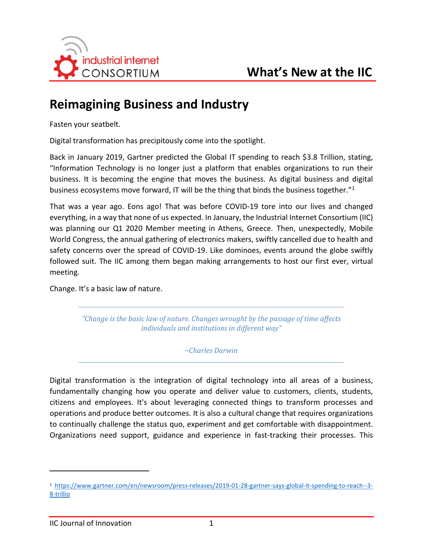

# **Reimagining Business and Industry**

Fasten your seatbelt.

Digital transformation has precipitously come into the spotlight.

Back in January 2019, Gartner predicted the Global IT spending to reach \$3.8 Trillion, stating, "Information Technology is no longer just a platform that enables organizations to run their business. It is becoming the engine that moves the business. As digital business and digital business ecosystems move forward, IT will be the thing that binds the business together."[1](#page-0-0)

That was a year ago. Eons ago! That was before COVID-19 tore into our lives and changed everything, in a way that none of us expected. In January, the Industrial Internet Consortium (IIC) was planning our Q1 2020 Member meeting in Athens, Greece. Then, unexpectedly, Mobile World Congress, the annual gathering of electronics makers, swiftly cancelled due to health and safety concerns over the spread of COVID-19. Like dominoes, events around the globe swiftly followed suit. The IIC among them began making arrangements to host our first ever, virtual meeting.

Change. It's a basic law of nature.

*"Change is the basic law of nature. Changes wrought by the passage of time affects individuals and institutions in different way"* 

*~Charles Darwin*

Digital transformation is the integration of digital technology into all areas of a business, fundamentally changing how you operate and deliver value to customers, clients, students, citizens and employees. It's about leveraging connected things to transform processes and operations and produce better outcomes. It is also a cultural change that requires organizations to continually challenge the status quo, experiment and get comfortable with disappointment. Organizations need support, guidance and experience in fast-tracking their processes. This

 $\overline{a}$ 

<span id="page-0-0"></span><sup>1</sup> [https://www.gartner.com/en/newsroom/press-releases/2019-01-28-gartner-says-global-it-spending-to-reach--3-](https://www.gartner.com/en/newsroom/press-releases/2019-01-28-gartner-says-global-it-spending-to-reach--3-8-trillio) [8-trillio](https://www.gartner.com/en/newsroom/press-releases/2019-01-28-gartner-says-global-it-spending-to-reach--3-8-trillio)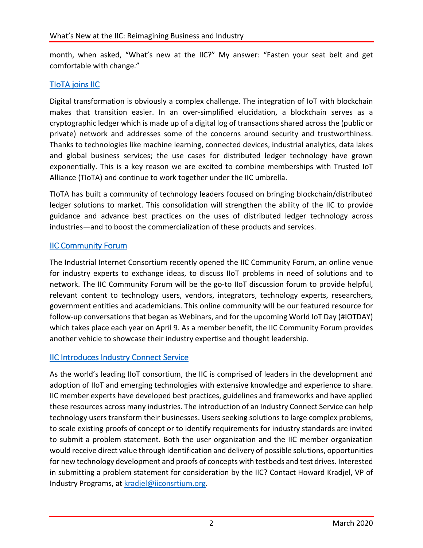month, when asked, "What's new at the IIC?" My answer: "Fasten your seat belt and get comfortable with change."

# [TIoTA joins IIC](https://www.iiconsortium.org/press-room/01-03-20.htm)

Digital transformation is obviously a complex challenge. The integration of IoT with blockchain makes that transition easier. In an over-simplified elucidation, a blockchain serves as a cryptographic ledger which is made up of a digital log of transactions shared across the (public or private) network and addresses some of the concerns around security and trustworthiness. Thanks to technologies like machine learning, connected devices, industrial analytics, data lakes and global business services; the use cases for distributed ledger technology have grown exponentially. This is a key reason we are excited to combine memberships with Trusted IoT Alliance (TIoTA) and continue to work together under the IIC umbrella.

TIoTA has built a community of technology leaders focused on bringing blockchain/distributed ledger solutions to market. This consolidation will strengthen the ability of the IIC to provide guidance and advance best practices on the uses of distributed ledger technology across industries—and to boost the commercialization of these products and services.

# [IIC Community Forum](https://community.iiconsortium.org/)

The Industrial Internet Consortium recently opened the IIC Community Forum, an online venue for industry experts to exchange ideas, to discuss IIoT problems in need of solutions and to network. The IIC Community Forum will be the go-to IIoT discussion forum to provide helpful, relevant content to technology users, vendors, integrators, technology experts, researchers, government entities and academicians. This online community will be our featured resource for follow-up conversations that began as Webinars, and for the upcoming World IoT Day (#IOTDAY) which takes place each year on April 9. As a member benefit, the IIC Community Forum provides another vehicle to showcase their industry expertise and thought leadership.

## [IIC Introduces Industry Connect Service](https://www.iiconsortium.org/industry-connect-service.htm)

As the world's leading IIoT consortium, the IIC is comprised of leaders in the development and adoption of IIoT and emerging technologies with extensive knowledge and experience to share. IIC member experts have developed best practices, guidelines and frameworks and have applied these resources across many industries. The introduction of an Industry Connect Service can help technology users transform their businesses. Users seeking solutions to large complex problems, to scale existing proofs of concept or to identify requirements for industry standards are invited to submit a problem statement. Both the user organization and the IIC member organization would receive direct value through identification and delivery of possible solutions, opportunities for new technology development and proofs of concepts with testbeds and test drives. Interested in submitting a problem statement for consideration by the IIC? Contact Howard Kradjel, VP of Industry Programs, at [kradjel@iiconsrtium.org.](mailto:kradjel@iiconsrtium.org)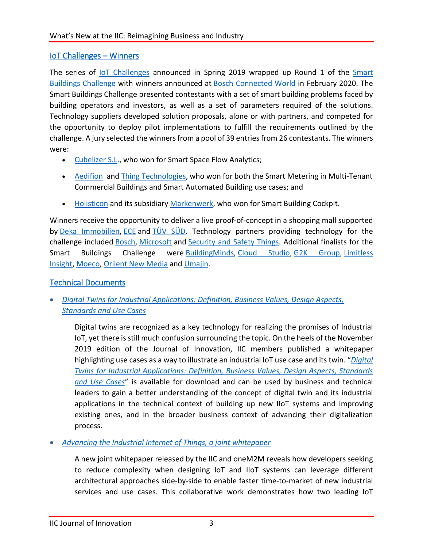## [IoT Challenges – Winners](https://www.iiconsortium.org/press-room/02-19-20.htm)

The series of [IoT Challenges](https://www.iiconsortium.org/iot-challenges.htm) announced in Spring 2019 wrapped up Round 1 of the [Smart](https://www.iiconsortium.org/smart-buildings-challenge/)  Buildings [Challenge](https://www.iiconsortium.org/smart-buildings-challenge/) with winners announced at **[Bosch Connected World](https://bosch-connected-world.com/)** in February 2020. The Smart Buildings Challenge presented contestants with a set of smart building problems faced by building operators and investors, as well as a set of parameters required of the solutions. Technology suppliers developed solution proposals, alone or with partners, and competed for the opportunity to deploy pilot implementations to fulfill the requirements outlined by the challenge. A jury selected the winners from a pool of 39 entries from 26 contestants. The winners were:

- [Cubelizer S.L.](http://cubelizer.com/), who won for Smart Space Flow Analytics;
- [Aedifion](https://www.aedifion.com/en/) and [Thing Technologies,](https://www.thing-it.com/thing-it/?tip=202002010836#!/) who won for both the Smart Metering in Multi-Tenant Commercial Buildings and Smart Automated Building use cases; and
- [Holisticon](https://www.holisticon.de/) and its subsidiary [Markenwerk,](https://markenwerk.net/) who won for Smart Building Cockpit.

Winners receive the opportunity to deliver a live proof-of-concept in a shopping mall supported by Deka [Immobilien,](https://www.deka.de/immobilien) [ECE](https://www.ece.com/en/) and [TÜV SÜD.](https://www.tuev-sued.de/home_en) Technology partners providing technology for the challenge included [Bosch,](https://www.bosch.de/en/) [Microsoft](https://azure.microsoft.com/en-us/) and [Security and Safety Things.](https://www.securityandsafetythings.com/) Additional finalists for the Smart Buildings Challenge were [BuildingMinds,](https://buildingminds.com/) [Cloud Studio,](https://www.cloud.studio/gear-studio-2/) [G2K Group,](http://www.get2know.com/) [Limitless](https://www.limitlessinsight.com/)  [Insight,](https://www.limitlessinsight.com/) [Moeco,](https://moeco.io/) [Oriient New Media](https://www.oriient.me/) and [Umajin.](https://www.umajin.com/)

## [Technical Documents](https://www.iiconsortium.org/white-papers.htm)

• *[Digital Twins for Industrial Applications: Definition, Business Values, Design Aspects,](https://www.iiconsortium.org/stay-informed/digital-twins-for-industrial-applications.htm)  [Standards and Use Cases](https://www.iiconsortium.org/stay-informed/digital-twins-for-industrial-applications.htm)*

Digital twins are recognized as a key technology for realizing the promises of Industrial IoT, yet there is still much confusion surrounding the topic. On the heels of the November 2019 edition of the Journal of Innovation, IIC members published a whitepaper highlighting use cases as a way to illustrate an industrial IoT use case and its twin. "*[Digital](https://www.iiconsortium.org/pdf/IIC_Digital_Twins_Industrial_Apps_White_Paper_2020-02-18.pdf)  [Twins for Industrial Applications: Definition, Business Values, Design Aspects, Standards](https://www.iiconsortium.org/pdf/IIC_Digital_Twins_Industrial_Apps_White_Paper_2020-02-18.pdf)  [and Use Cases](https://www.iiconsortium.org/pdf/IIC_Digital_Twins_Industrial_Apps_White_Paper_2020-02-18.pdf)*" is available for download and can be used by business and technical leaders to gain a better understanding of the concept of digital twin and its industrial applications in the technical context of building up new IIoT systems and improving existing ones, and in the broader business context of advancing their digitalization process.

• *[Advancing the Industrial Internet of Things, a joint whitepaper](https://www.iiconsortium.org/pdf/IIC_oneM2M_Whitepaper_final_2019_12_12.pdf)*

A new joint whitepaper released by the IIC and oneM2M reveals how developers seeking to reduce complexity when designing IoT and IIoT systems can leverage different architectural approaches side-by-side to enable faster time-to-market of new industrial services and use cases. This collaborative work demonstrates how two leading IoT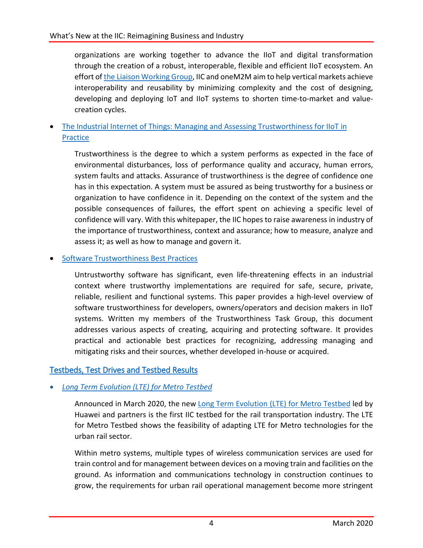organizations are working together to advance the IIoT and digital transformation through the creation of a robust, interoperable, flexible and efficient IIoT ecosystem. An effort o[f the Liaison Working Group,](https://www.iiconsortium.org/wc-liaison.htm) IIC and oneM2M aim to help vertical markets achieve interoperability and reusability by minimizing complexity and the cost of designing, developing and deploying IoT and IIoT systems to shorten time-to-market and valuecreation cycles.

• The Industrial Internet of Things: Managing and Assessing Trustworthiness for IIoT in [Practice](https://www.iiconsortium.org/pdf/Managing_and_Assessing_Trustworthiness_for_IIoT_in_Practice_Whitepaper_2019_07_29.pdf)

Trustworthiness is the degree to which a system performs as expected in the face of environmental disturbances, loss of performance quality and accuracy, human errors, system faults and attacks. Assurance of trustworthiness is the degree of confidence one has in this expectation. A system must be assured as being trustworthy for a business or organization to have confidence in it. Depending on the context of the system and the possible consequences of failures, the effort spent on achieving a specific level of confidence will vary. With this whitepaper, the IIC hopes to raise awareness in industry of the importance of trustworthiness, context and assurance; how to measure, analyze and assess it; as well as how to manage and govern it.

#### • [Software Trustworthiness Best Practices](https://www.iiconsortium.org/pdf/Software_Trustworthiness_Best_Practices_Whitepaper_2020_03_23.pdf)

Untrustworthy software has significant, even life-threatening effects in an industrial context where trustworthy implementations are required for safe, secure, private, reliable, resilient and functional systems. This paper provides a high-level overview of software trustworthiness for developers, owners/operators and decision makers in IIoT systems. Written my members of the Trustworthiness Task Group, this document addresses various aspects of creating, acquiring and protecting software. It provides practical and actionable best practices for recognizing, addressing managing and mitigating risks and their sources, whether developed in-house or acquired.

## [Testbeds, Test Drives and Testbed Results](https://www.iiconsortium.org/test-beds.htm)

## • *[Long Term Evolution \(LTE\) for Metro Testbed](https://www.iiconsortium.org/lte-for-metro.htm)*

Announced in March 2020, the new [Long Term Evolution \(LTE\) for Metro Testbed](https://www.iiconsortium.org/lte-for-metro.htm) led by Huawei and partners is the first IIC testbed for the rail transportation industry. The LTE for Metro Testbed shows the feasibility of adapting LTE for Metro technologies for the urban rail sector.

Within metro systems, multiple types of wireless communication services are used for train control and for management between devices on a moving train and facilities on the ground. As information and communications technology in construction continues to grow, the requirements for urban rail operational management become more stringent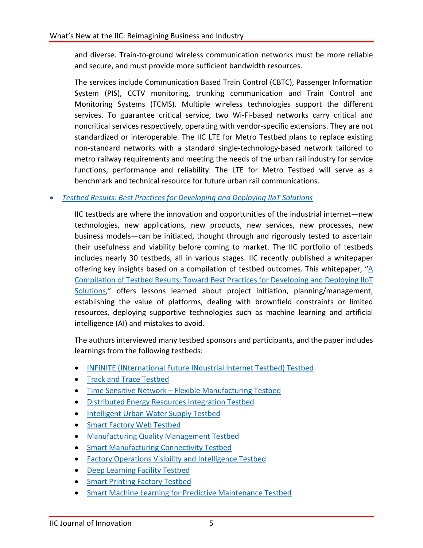and diverse. Train-to-ground wireless communication networks must be more reliable and secure, and must provide more sufficient bandwidth resources.

The services include Communication Based Train Control (CBTC), Passenger Information System (PIS), CCTV monitoring, trunking communication and Train Control and Monitoring Systems (TCMS). Multiple wireless technologies support the different services. To guarantee critical service, two Wi-Fi-based networks carry critical and noncritical services respectively, operating with vendor-specific extensions. They are not standardized or interoperable. The IIC LTE for Metro Testbed plans to replace existing non-standard networks with a standard single-technology-based network tailored to metro railway requirements and meeting the needs of the urban rail industry for service functions, performance and reliability. The LTE for Metro Testbed will serve as a benchmark and technical resource for future urban rail communications.

#### • *[Testbed Results: Best Practices for Developing and Deploying IIoT Solutions](https://www.iiconsortium.org/pdf/Compilation_of_Testbed_Results_2020_Feb.pdf)*

IIC testbeds are where the innovation and opportunities of the industrial internet—new technologies, new applications, new products, new services, new processes, new business models—can be initiated, thought through and rigorously tested to ascertain their usefulness and viability before coming to market. The IIC portfolio of testbeds includes nearly 30 testbeds, all in various stages. IIC recently published a whitepaper offering key insights based on a compilation of testbed outcomes. This whitepaper, ["A](http://www.iiconsortium.org/pdf/Compilation_of_Testbed_Results_2020_Feb.pdf)  [Compilation of Testbed Results: Toward Best Practices for Developing and Deploying IIoT](http://www.iiconsortium.org/pdf/Compilation_of_Testbed_Results_2020_Feb.pdf)  [Solutions,](http://www.iiconsortium.org/pdf/Compilation_of_Testbed_Results_2020_Feb.pdf)" offers lessons learned about project initiation, planning/management, establishing the value of platforms, dealing with brownfield constraints or limited resources, deploying supportive technologies such as machine learning and artificial intelligence (AI) and mistakes to avoid.

The authors interviewed many testbed sponsors and participants, and the paper includes learnings from the following testbeds:

- [INFINITE \(INternational Future INdustrial Internet Testbed\) Testbed](https://www.iiconsortium.org/news/joi-articles/2017-Jan-Results-Insights-Best-Practices-from-INFINITE-Testbed.pdf)
- [Track and Trace Testbed](https://www.iiconsortium.org/pdf/June_2017_JoI_TrackTrace_Testbed_Interview.pdf)
- Time Sensitive Network [Flexible Manufacturing Testbed](https://www.iiconsortium.org/news/joi-articles/2017-Jan-Results-Insights-Best-Practices-from-TSN-Testbed-I.pdf)
- [Distributed Energy Resources](https://www.iiconsortium.org/news/joi-articles/2017-Sept-Microgrid_Testbed_JOI.pdf) Integration Testbed
- [Intelligent Urban Water Supply Testbed](https://www.iiconsortium.org/news/joi-articles/2017-Nov_JoI_Intell_Urban_Water_Supply_Testbed.pdf)
- [Smart Factory Web Testbed](https://www.iiconsortium.org/news/joi-articles/2019-March-JoI-Smart-Factory-Web-testbed.pdf)
- [Manufacturing Quality Management Testbed](https://www.iiconsortium.org/news/joi-articles/2018-March_MQM_Testbed_Interview.pdf)
- [Smart Manufacturing Connectivity Testbed](https://www.iiconsortium.org/news/joi-articles/2018-Sept-JoI-Smart-Manufacturing-Connectivity-Testbed.pdf)
- [Factory Operations Visibility and Intelligence Testbed](https://www.iiconsortium.org/fovi.htm)
- [Deep Learning Facility Testbed](https://www.iiconsortium.org/news/joi-articles/2019-June-JoI-Deep-Learning-Facility-testbed.pdf)
- [Smart Printing Factory Testbed](https://www.iiconsortium.org/smart-printing-factory.htm)
- [Smart Machine Learning for Predictive Maintenance Testbed](https://www.iiconsortium.org/news/joi-articles/2019-November-JoI-Smart-Factory-Machine-Learning-for-Predictive-Maintenance-Testbed.pdf)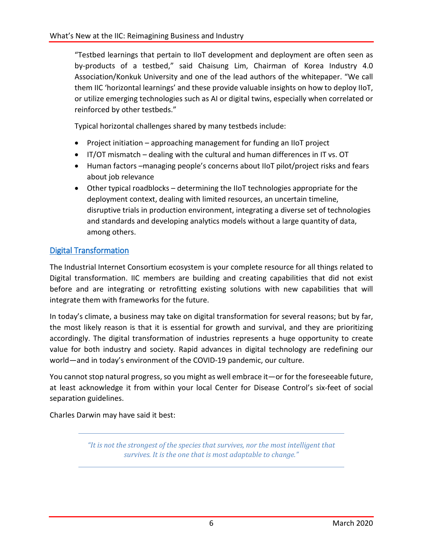"Testbed learnings that pertain to IIoT development and deployment are often seen as by-products of a testbed," said Chaisung Lim, Chairman of Korea Industry 4.0 Association/Konkuk University and one of the lead authors of the whitepaper. "We call them IIC 'horizontal learnings' and these provide valuable insights on how to deploy IIoT, or utilize emerging technologies such as AI or digital twins, especially when correlated or reinforced by other testbeds."

Typical horizontal challenges shared by many testbeds include:

- Project initiation approaching management for funding an IIoT project
- IT/OT mismatch dealing with the cultural and human differences in IT vs. OT
- Human factors –managing people's concerns about IIoT pilot/project risks and fears about job relevance
- Other typical roadblocks determining the IIoT technologies appropriate for the deployment context, dealing with limited resources, an uncertain timeline, disruptive trials in production environment, integrating a diverse set of technologies and standards and developing analytics models without a large quantity of data, among others.

## [Digital Transformation](https://www.iiconsortium.org/digital-transformation/index.htm)

The Industrial Internet Consortium ecosystem is your complete resource for all things related to Digital transformation. IIC members are building and creating capabilities that did not exist before and are integrating or retrofitting existing solutions with new capabilities that will integrate them with frameworks for the future.

In today's climate, a business may take on digital transformation for several reasons; but by far, the most likely reason is that it is essential for growth and survival, and they are prioritizing accordingly. The digital transformation of industries represents a huge opportunity to create value for both industry and society. Rapid advances in digital technology are redefining our world—and in today's environment of the COVID-19 pandemic, our culture.

You cannot stop natural progress, so you might as well embrace it—or for the foreseeable future, at least acknowledge it from within your local Center for Disease Control's six-feet of social separation guidelines.

Charles Darwin may have said it best:

*"It is not the strongest of the species that survives, nor the most intelligent that survives. It is the one that is most adaptable to change."*